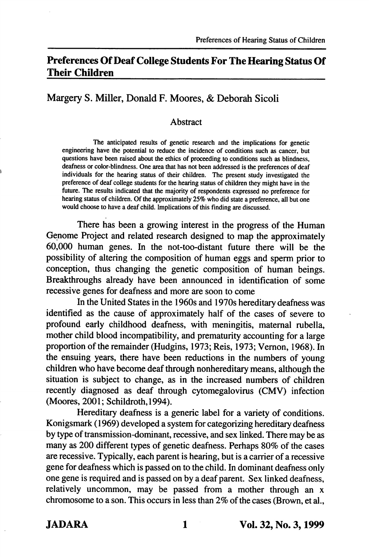# Preferences Of Deaf College Students For The Hearing Status Of Their Children

## Margery S. Miller, Donald F. Moores, & Deborah Sicoli

### Abstract

The anticipated results of genetic research and the implications for genetic engineering have the potential to reduce the incidence of conditions such as cancer, but questions have been raised about the ethics of proceeding to conditions such as blindness, deafness or color-blindness. One area that has not been addressed is the preferences of deaf individuals for the hearing status of their children. The present study investigated the preference of deaf college students for the hearing status of children they might have in the future. The results indicated that the majority of respondents expressed no preference for hearing status of children. Of the approximately 25% who did state a preference, all but one would choose to have a deaf child. Implications of this finding are discussed.

There has been a growing interest in the progress of the Human Genome Project and related research designed to map the approximately 60,000 human genes. In the not-too-distant future there will be the possibility of altering the composition of human eggs and sperm prior to conception, thus changing the genetic composition of human beings. Breakthroughs already have been announced in identification of some recessive genes for deafness and more are soon to come

In the United States in the 1960s and 1970s hereditary deafness was identified as the cause of approximately half of the cases of severe to profound early childhood deafness, with meningitis, maternal rubella, mother child blood incompatibility, and prematurity accounting for a large proportion of the remainder (Hudgins, 1973; Reis, 1973; Vemon, 1968). In the ensuing years, there have been reductions in the numbers of young children who have become deaf through nonhereditary means, although the situation is subject to change, as in the increased numbers of children recently diagnosed as deaf through cytomegalovirus (CMV) infection (Moores, 2001; Schildroth,1994).

Hereditary deafness is a generic label for a variety of conditions. Konigsmark (1969) developed a system for categorizing hereditary deafness by type of transmission-dominant, recessive, and sex linked. There may be as many as 200 different types of genetic deafness. Perhaps 80% of the cases are recessive. Typically, each parent is hearing, but is a carrier of a recessive gene for deafness which is passed on to the child. In dominant deafness only one gene is required and is passed on by a deaf parent. Sex linked deafness, relatively uncommon, may be passed from a mother through an x chromosome to a son. This occurs in less than 2% of the cases (Brown, et al.,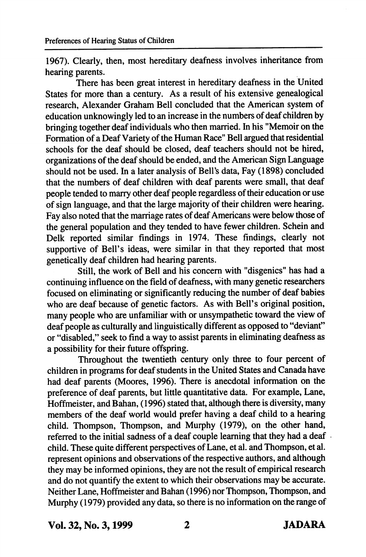1967). Clearly, then, most hereditary deafness involves inheritance from hearing parents.

There has been great interest in hereditary deafness in the United States for more than a century. As a result of his extensive genealogical research, Alexander Graham Bell concluded that the American system of education unknowingly led to an increase in the numbers of deaf children by bringing together deaf individuals who then married. In his "Memoir on the Formation of a Deaf Variety of the Human Race" Bell argued that residential schools for the deaf should be closed, deaf teachers should not be hired, organizations of the deaf should be ended, and the American Sign Language should not be used. In a later analysis of Bell's data. Fay (1898) concluded that the numbers of deaf children with deaf parents were small, that deaf people tended to marry other deaf people regardless of their education or use of sign language, and that the large majority of their children were hearing. Fay also noted that the marriage rates of deaf Americans were below those of the general population and they tended to have fewer children. Schein and Delk reported similar findings in 1974. These findings, clearly not supportive of Bell's ideas, were similar in that they reported that most genetically deaf children had hearing parents.

Still, the work of Bell and his concern with "disgenics" has had a continuing influence on the field of deafness, with many genetic researchers focused on eliminating or significantly reducing the number of deaf babies who are deaf because of genetic factors. As with Bell's original position, many people who are unfamiliar with or unsympathetic toward the view of deaf people as culturally and linguistically different as opposed to "deviant" or "disabled," seek to find a way to assist parents in eliminating deafness as a possibility for their future offspring.

Throughout the twentieth century only three to four percent of children in programs for deaf students in the United States and Canada have had deaf parents (Moores, 1996). There is anecdotal information on the preference of deaf parents, but little quantitative data. For example. Lane, Hoffmeister, and Bahan, (1996) stated that, although there is diversity, many members of the deaf world would prefer having a deaf child to a hearing child. Thompson, Thompson, and Murphy (1979), on the other hand, referred to the initial sadness of a deaf couple learning that they had a deaf child. These quite different perspectives of Lane, et al. and Thompson, et al. represent opinions and observations of the respective authors, and although they may be informed opinions, they are not the result of empirical research and do not quantify the extent to which their observations may be accurate. Neither Lane, Hoffmeister and Bahan (1996) nor Thompson, Thompson, and Murphy (1979) provided any data, so there is no information on the range of

Vol. 32, No. 3,1999 2 JADARA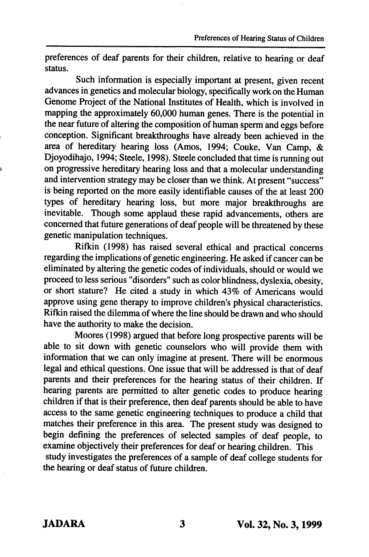preferences of deaf parents for their children, relative to hearing or deaf status.

Such information is especially important at present, given recent advances in genetics and molecular biology, specifically work on the Human Genome Project of the National Institutes of Health, which is involved in mapping the approximately 60,000 human genes. There is the potential in the near future of altering the composition of human sperm and eggs before conception. Significant breakthroughs have already been achieved in the area of hereditary hearing loss (Amos, 1994; Couke, Van Camp, & Djoyodihajo, 1994; Steele, 1998). Steele concluded that time is running out on progressive hereditary hearing loss and that a molecular understanding and intervention strategy may be closer than we think. At present "success" is being reported on the more easily identifiable causes of the at least 200 types of hereditary hearing loss, but more major breakthroughs are inevitable. Though some applaud these rapid advancements, others are concerned that future generations of deaf people will be threatened by these genetic manipulation techniques.

Rifkin (1998) has raised several ethical and practical concerns regarding the implications of genetic engineering. He asked if cancer can be eliminated by altering the genetic codes of individuals, should or would we proceed to less serious "disorders" such as color blindness, dyslexia, obesity, or short stature? He cited a study in which 43% of Americans would approve using gene therapy to improve children's physical characteristics. Rifkin raised the dilemma of where the line should be drawn and who should have the authority to make the decision.

Moores (1998) argued that before long prospective parents will be able to sit down with genetic counselors who will provide them with information that we can only imagine at present. There will be enormous legal and ethical questions. One issue that will be addressed is that of deaf parents and their preferences for the hearing status of their children. If hearing parents are permitted to alter genetic codes to produce hearing children if that is their preference, then deaf parents should be able to have access to the same genetic engineering techniques to produce a child that matches their preference in this area. The present study was designed to begin defining the preferences of selected samples of deaf people, to examine objectively their preferences for deaf or hearing children. This study investigates the preferences of a sample of deaf college students for the hearing or deaf status of future children.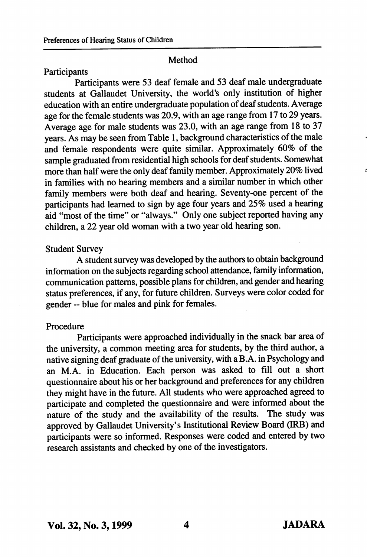## Method

## Participants

Participants were 53 deaf female and 53 deaf male undergraduate students at Gallaudet University, the world's only institution of higher education with an entire undergraduate population of deaf students. Average age for the female students was 20.9, with an age range from 17 to 29 years. Average age for male students was 23.0, with an age range from 18 to 37 years. As may be seen from Table 1, background characteristics of the male and female respondents were quite similar. Approximately 60% of the sample graduated from residential high schools for deaf students. Somewhat more than half were the only deaf family member. Approximately 20% lived in families with no hearing members and a similar number in which other family members were both deaf and hearing. Seventy-one percent of the participants had learned to sign by age four years and 25% used a hearing aid "most of the time" or "always." Only one subject reported having any children, a 22 year old woman with a two year old hearing son.

## Student Survey

A student survey was developed by the authors to obtain background information on the subjects regarding school attendance, family information, communication patterns, possible plans for children, and gender and hearing status preferences, if any, for future children. Surveys were color coded for gender ~ blue for males and pink for females.

## Procedure

Participants were approached individually in the snack bar area of the university, a common meeting area for students, by the third author, a native signing deaf graduate of the university, with a B.A. in Psychology and an M.A. in Education. Each person was asked to fill out a short questionnaire about his or her background and preferences for any children they might have in the future. All students who were approached agreed to participate and completed the questionnaire and were informed about the nature of the study and the availability of the results. The study was approved by Gallaudet University's Institutional Review Board (IRB) and participants were so informed. Responses were coded and entered by two research assistants and checked by one of the investigators.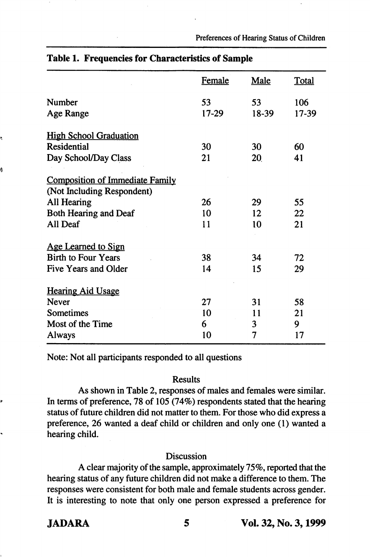Preferences of Hearing Status of Children

|                                        | Female | <b>Male</b>    | <b>Total</b> |
|----------------------------------------|--------|----------------|--------------|
| Number                                 | 53     | 53             | 106          |
| Age Range                              | 17-29  | 18-39          | 17-39        |
| <b>High School Graduation</b>          |        |                |              |
| <b>Residential</b>                     | 30     | 30             | 60           |
| Day School/Day Class                   | 21     | 20             | 41           |
| <b>Composition of Immediate Family</b> |        |                |              |
| (Not Including Respondent)             |        |                |              |
| All Hearing                            | 26     | 29             | 55           |
| Both Hearing and Deaf                  | 10     | 12             | 22           |
| All Deaf                               | 11     | 10             | 21           |
| Age Learned to Sign                    |        |                |              |
| <b>Birth to Four Years</b>             | 38     | 34             | 72           |
| Five Years and Older                   | 14     | 15             | 29           |
| <b>Hearing Aid Usage</b>               |        |                |              |
| <b>Never</b>                           | 27     | 31             | 58           |
| Sometimes                              | 10     | 11             | 21           |
| Most of the Time                       | 6      | 3              | 9            |
| Always                                 | 10     | $\overline{7}$ | 17           |
|                                        |        |                |              |

## Table 1. Frequencies for Characteristics of Sample

Note: Not all participants responded to all questions

## Results

As shown in Table 2, responses of males and females were similar. In terms of preference, 78 of 105 (74%) respondents stated that the hearing status of future children did not matter to them. For those who did express a preference, 26 wanted a deaf child or children and only one (1) wanted a hearing child.

#### Discussion

A clear majority of the sample, approximately 75%, reported that the hearing status of any future children did not make a difference to them. The responses were consistent for both male and female students across gender. It is interesting to note that only one person expressed a preference for

Ą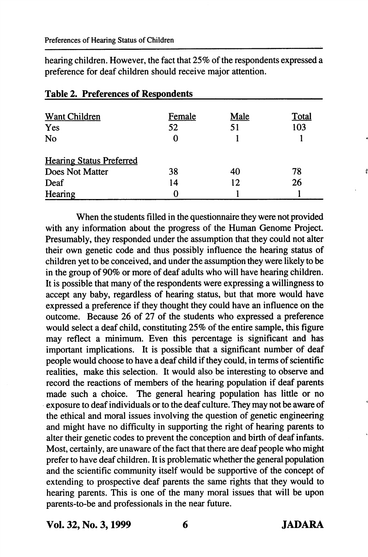hearing children. However, the fact that 25% of the respondents expressed a preference for deaf children should receive major attention.

| Want Children                   | Female | Male | Total |
|---------------------------------|--------|------|-------|
| Yes                             | 52     | 51   | 103   |
| No                              |        |      |       |
| <b>Hearing Status Preferred</b> |        |      |       |
| Does Not Matter                 | 38     | 40   | 78    |
| Deaf                            | 14     | 12   | 26    |
| Hearing                         |        |      |       |

## Table 2. Preferences of Respondents

When the students filled in the questionnaire they were not provided with any information about the progress of the Human Genome Project. Presumably, they responded under the assumption that they could not alter their own genetic code and thus possibly influence the hearing status of children yet to be conceived, and under the assumption they were likely to be in the group of 90% or more of deaf adults who will have hearing children. It is possible that many of the respondents were expressing a willingness to accept any baby, regardless of hearing status, but that more would have expressed a preference if they thought they could have an influence on the outcome. Because 26 of 27 of the students who expressed a preference would select a deaf child, constituting 25% of the entire sample, this figure may reflect a minimum. Even this percentage is significant and has important implications. It is possible that a significant number of deaf people would choose to have a deaf child if they could, in terms of scientific realities, make this selection. It would also be interesting to observe and record the reactions of members of the hearing population if deaf parents made such a choice. The general hearing population has little or no exposure to deaf individuals or to the deaf culture. They may not be aware of the ethical and moral issues involving the question of genetic engineering and might have no difficulty in supporting the right of hearing parents to alter their genetic codes to prevent the conception and birth of deaf infants. Most, certainly, are unaware of the fact that there are deaf people who might prefer to have deaf children. It is problematic whether the general population and the scientific community itself would be supportive of the concept of extending to prospective deaf parents the same rights that they would to hearing parents. This is one of the many moral issues that will be upon parents-to-be and professionals in the near future.

Vol. 32, No. 3,1999 6 JADARA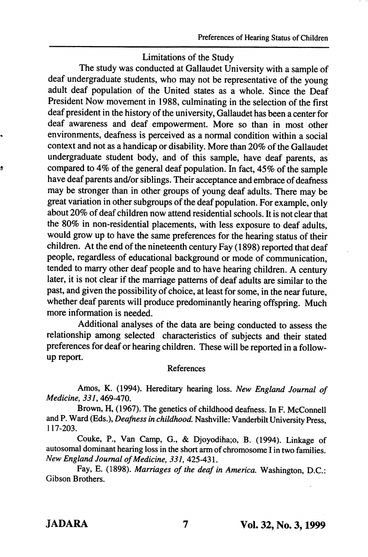# Limitations of the Study

The study was conducted at Gallaudet University with a sample of deaf undergraduate students, who may not be representative of the young adult deaf population of the United states as a whole. Since the Deaf President Now movement in 1988, culminating in the selection of the first deaf president in the history of the university, Gallaudet has been a center for deaf awareness and deaf empowerment. More so than in most other environments, deafness is perceived as a normal condition within a social context and not as a handicap or disability. More than 20% of the Gallaudet undergraduate student body, and of this sample, have deaf parents, as compared to 4% of the general deaf population. In fact, 45% of the sample have deaf parents and/or siblings. Their acceptance and embrace of deafness may be stronger than in other groups of young deaf adults. There may be great variation in other subgroups of the deaf population. For example, only about 20% of deaf children now attend residential schools. It is not clear that the 80% in non-residential placements, with less exposure to deaf adults, would grow up to have the same preferences for the hearing status of their children. At the end of the nineteenth century Fay (1898) reported that deaf people, regardless of educational background or mode of communication, tended to marry other deaf people and to have hearing children. A century later, it is not clear if the marriage patterns of deaf adults are similar to the past, and given the possibility of choice, at least for some, in the near future, whether deaf parents will produce predominantly hearing offspring. Much more information is needed.

Additional analyses of the data are being conducted to assess the relationship among selected characteristics of subjects and their stated preferences for deaf or hearing children. These will be reported in a followup report.

## References

Amos, K. (1994). Hereditary hearing loss. New England Journal of Medicine, 331,469-470.

Brown, H, (1967). The genetics of childhood deafness. In F. McConnell and P. Ward (Eds.), Deafness in childhood. Nashville: Vanderbilt University Press, 117-203.

Couke, P., Van Camp, G., & Djoyodiha;o, B. (1994). Linkage of autosomal dominant hearing loss in the short arm of chromosome I in two families. New England Journal of Medicine, 331, 425-431.

Fay, E. (1898). Marriages of the deaf in America. Washington, D.C.: Gibson Brothers.

ġ